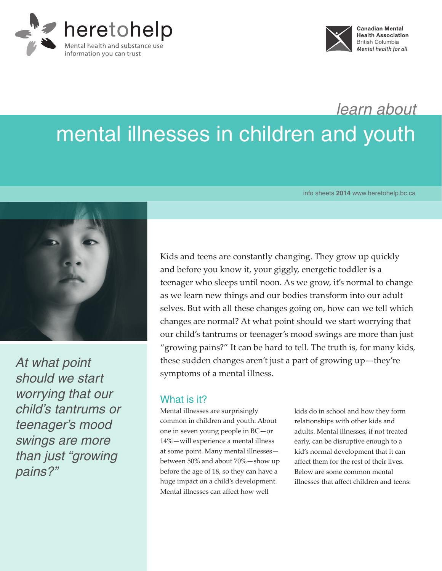



*learn about*

# mental illnesses in children and youth

info sheets **2014** www.heretohelp.bc.ca



*At what point should we start worrying that our child's tantrums or teenager's mood swings are more than just "growing pains?"*

Kids and teens are constantly changing. They grow up quickly and before you know it, your giggly, energetic toddler is a teenager who sleeps until noon. As we grow, it's normal to change as we learn new things and our bodies transform into our adult selves. But with all these changes going on, how can we tell which changes are normal? At what point should we start worrying that our child's tantrums or teenager's mood swings are more than just "growing pains?" It can be hard to tell. The truth is, for many kids, these sudden changes aren't just a part of growing up—they're symptoms of a mental illness.

## What is it?

Mental illnesses are surprisingly common in children and youth. About one in seven young people in BC—or 14%—will experience a mental illness at some point. Many mental illnesses between 50% and about 70%—show up before the age of 18, so they can have a huge impact on a child's development. Mental illnesses can affect how well

kids do in school and how they form relationships with other kids and adults. Mental illnesses, if not treated early, can be disruptive enough to a kid's normal development that it can affect them for the rest of their lives. Below are some common mental illnesses that affect children and teens: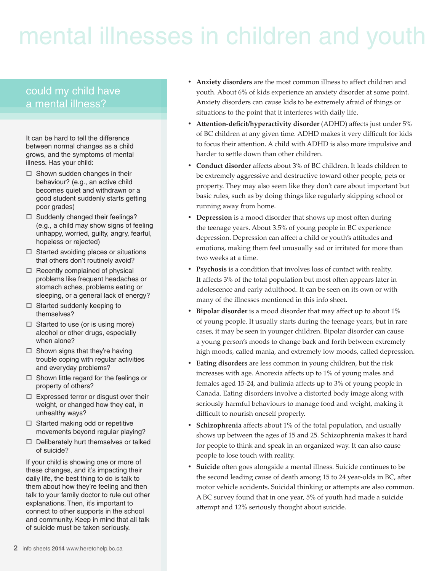# mental illnesses in children and youth

# could my child have a mental illness?

It can be hard to tell the difference between normal changes as a child grows, and the symptoms of mental illness. Has your child:

- $\Box$  Shown sudden changes in their behaviour? (e.g., an active child becomes quiet and withdrawn or a good student suddenly starts getting poor grades)
- $\Box$  Suddenly changed their feelings? (e.g., a child may show signs of feeling unhappy, worried, guilty, angry, fearful, hopeless or rejected)
- $\Box$  Started avoiding places or situations that others don't routinely avoid?
- $\Box$  Recently complained of physical problems like frequent headaches or stomach aches, problems eating or sleeping, or a general lack of energy?
- $\Box$  Started suddenly keeping to themselves?
- $\Box$  Started to use (or is using more) alcohol or other drugs, especially when alone?
- $\Box$  Shown signs that they're having trouble coping with regular activities and everyday problems?
- $\Box$  Shown little regard for the feelings or property of others?
- $\Box$  Expressed terror or disgust over their weight, or changed how they eat, in unhealthy ways?
- $\Box$  Started making odd or repetitive movements beyond regular playing?
- $\Box$  Deliberately hurt themselves or talked of suicide?

If your child is showing one or more of these changes, and it's impacting their daily life, the best thing to do is talk to them about how they're feeling and then talk to your family doctor to rule out other explanations. Then, it's important to connect to other supports in the school and community. Keep in mind that all talk of suicide must be taken seriously.

- Anxiety disorders are the most common illness to affect children and youth. About 6% of kids experience an anxiety disorder at some point. Anxiety disorders can cause kids to be extremely afraid of things or situations to the point that it interferes with daily life.
- **• Attention-deficit/hyperactivity disorder** (ADHD) affects just under 5% of BC children at any given time. ADHD makes it very difficult for kids to focus their attention. A child with ADHD is also more impulsive and harder to settle down than other children.
- **• Conduct disorder** affects about 3% of BC children. It leads children to be extremely aggressive and destructive toward other people, pets or property. They may also seem like they don't care about important but basic rules, such as by doing things like regularly skipping school or running away from home.
- **• Depression** is a mood disorder that shows up most often during the teenage years. About 3.5% of young people in BC experience depression. Depression can affect a child or youth's attitudes and emotions, making them feel unusually sad or irritated for more than two weeks at a time.
- **• Psychosis** is a condition that involves loss of contact with reality. It affects 3% of the total population but most often appears later in adolescence and early adulthood. It can be seen on its own or with many of the illnesses mentioned in this info sheet.
- **Bipolar disorder** is a mood disorder that may affect up to about 1% of young people. It usually starts during the teenage years, but in rare cases, it may be seen in younger children. Bipolar disorder can cause a young person's moods to change back and forth between extremely high moods, called mania, and extremely low moods, called depression.
- **Eating disorders** are less common in young children, but the risk increases with age. Anorexia affects up to 1% of young males and females aged 15-24, and bulimia affects up to 3% of young people in Canada. Eating disorders involve a distorted body image along with seriously harmful behaviours to manage food and weight, making it difficult to nourish oneself properly.
- **Schizophrenia** affects about 1% of the total population, and usually shows up between the ages of 15 and 25. Schizophrenia makes it hard for people to think and speak in an organized way. It can also cause people to lose touch with reality.
- **• Suicide** often goes alongside a mental illness. Suicide continues to be the second leading cause of death among 15 to 24 year-olds in BC, after motor vehicle accidents. Suicidal thinking or attempts are also common. A BC survey found that in one year, 5% of youth had made a suicide attempt and 12% seriously thought about suicide.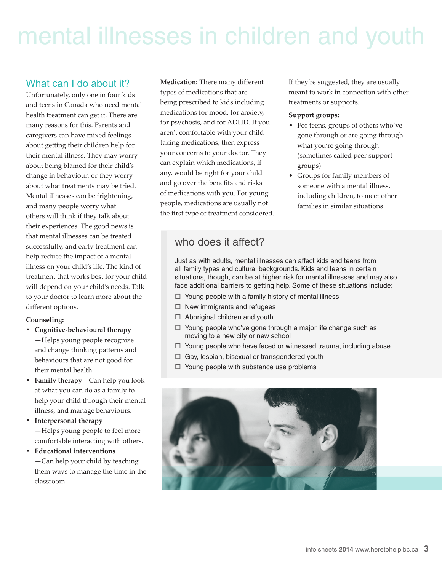# mental illnesses in children and youth

### What can I do about it?

Unfortunately, only one in four kids and teens in Canada who need mental health treatment can get it. There are many reasons for this. Parents and caregivers can have mixed feelings about getting their children help for their mental illness. They may worry about being blamed for their child's change in behaviour, or they worry about what treatments may be tried. Mental illnesses can be frightening, and many people worry what others will think if they talk about their experiences. The good news is that mental illnesses can be treated successfully, and early treatment can help reduce the impact of a mental illness on your child's life. The kind of treatment that works best for your child will depend on your child's needs. Talk to your doctor to learn more about the different options.

#### **Counseling:**

- **• Cognitive-behavioural therapy**
- —Helps young people recognize and change thinking patterns and behaviours that are not good for their mental health
- **• Family therapy**—Can help you look at what you can do as a family to help your child through their mental illness, and manage behaviours.

**• Interpersonal therapy** —Helps young people to feel more comfortable interacting with others.

**• Educational interventions** —Can help your child by teaching them ways to manage the time in the classroom.

**Medication:** There many different types of medications that are being prescribed to kids including medications for mood, for anxiety, for psychosis, and for ADHD. If you aren't comfortable with your child taking medications, then express your concerns to your doctor. They can explain which medications, if any, would be right for your child and go over the benefits and risks of medications with you. For young people, medications are usually not the first type of treatment considered. If they're suggested, they are usually meant to work in connection with other treatments or supports.

#### **Support groups:**

- For teens, groups of others who've gone through or are going through what you're going through (sometimes called peer support groups)
- Groups for family members of someone with a mental illness, including children, to meet other families in similar situations

## who does it affect?

Just as with adults, mental illnesses can affect kids and teens from all family types and cultural backgrounds. Kids and teens in certain situations, though, can be at higher risk for mental illnesses and may also face additional barriers to getting help. Some of these situations include:

- $\Box$  Young people with a family history of mental illness
- $\Box$  New immigrants and refugees
- □ Aboriginal children and youth
- $\Box$  Young people who've gone through a major life change such as moving to a new city or new school
- $\Box$  Young people who have faced or witnessed trauma, including abuse
- □ Gay, lesbian, bisexual or transgendered youth
- $\Box$  Young people with substance use problems